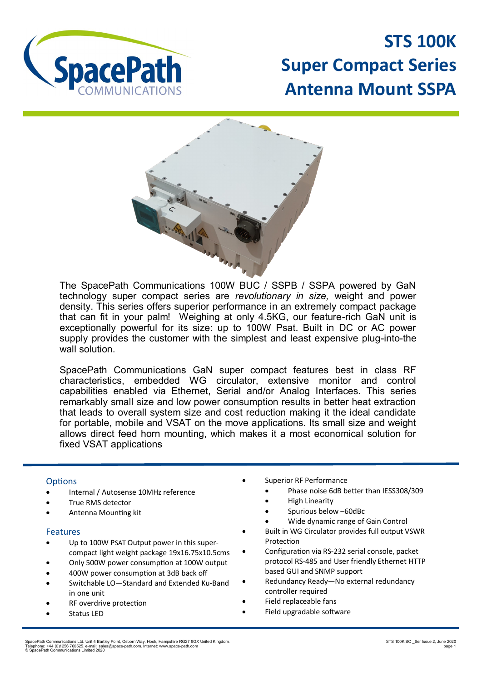

**STS 100K Super Compact Series Antenna Mount SSPA**



The SpacePath Communications 100W BUC / SSPB / SSPA powered by GaN technology super compact series are *revolutionary in size,* weight and power density. This series offers superior performance in an extremely compact package that can fit in your palm! Weighing at only 4.5KG, our feature-rich GaN unit is exceptionally powerful for its size: up to 100W Psat. Built in DC or AC power supply provides the customer with the simplest and least expensive plug-into-the wall solution.

SpacePath Communications GaN super compact features best in class RF characteristics, embedded WG circulator, extensive monitor and control capabilities enabled via Ethernet, Serial and/or Analog Interfaces. This series remarkably small size and low power consumption results in better heat extraction that leads to overall system size and cost reduction making it the ideal candidate for portable, mobile and VSAT on the move applications. Its small size and weight allows direct feed horn mounting, which makes it a most economical solution for fixed VSAT applications

## **Options**

- Internal / Autosense 10MHz reference
- True RMS detector
- Antenna Mounting kit

## Features

- Up to 100W PSAT Output power in this supercompact light weight package 19x16.75x10.5cms
- Only 500W power consumption at 100W output
- 400W power consumption at 3dB back off
- Switchable LO—Standard and Extended Ku-Band in one unit
- RF overdrive protection
- Status LED
- Superior RF Performance
	- Phase noise 6dB better than IESS308/309
	- High Linearity
	- Spurious below –60dBc
	- Wide dynamic range of Gain Control
- Built in WG Circulator provides full output VSWR Protection
- Configuration via RS-232 serial console, packet protocol RS-485 and User friendly Ethernet HTTP based GUI and SNMP support
- Redundancy Ready—No external redundancy controller required
- Field replaceable fans
- Field upgradable software